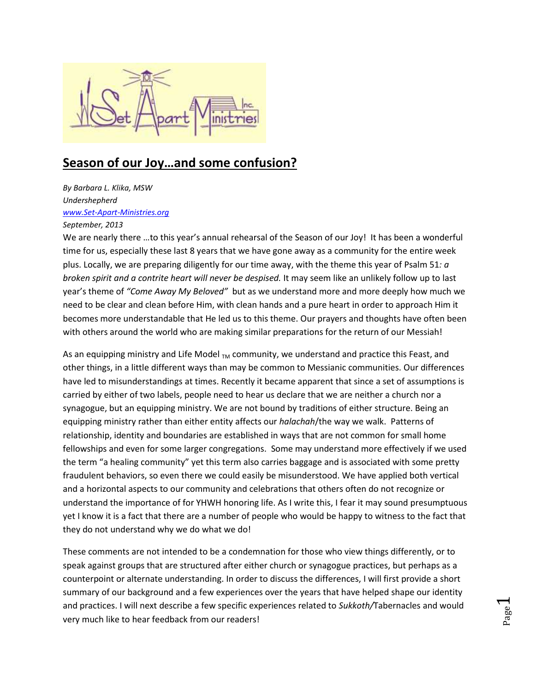

## **Season of our Joy…and some confusion?**

*By Barbara L. Klika, MSW Undershepherd [www.Set-Apart-Ministries.org](http://www.set-apart-ministries.org/) September, 2013*

We are nearly there ...to this year's annual rehearsal of the Season of our Joy! It has been a wonderful time for us, especially these last 8 years that we have gone away as a community for the entire week plus. Locally, we are preparing diligently for our time away, with the theme this year of Psalm 51*: a broken spirit and a contrite heart will never be despised.* It may seem like an unlikely follow up to last year's theme of *"Come Away My Beloved"* but as we understand more and more deeply how much we need to be clear and clean before Him, with clean hands and a pure heart in order to approach Him it becomes more understandable that He led us to this theme. Our prayers and thoughts have often been with others around the world who are making similar preparations for the return of our Messiah!

As an equipping ministry and Life Model  $_{TM}$  community, we understand and practice this Feast, and other things, in a little different ways than may be common to Messianic communities. Our differences have led to misunderstandings at times. Recently it became apparent that since a set of assumptions is carried by either of two labels, people need to hear us declare that we are neither a church nor a synagogue, but an equipping ministry. We are not bound by traditions of either structure. Being an equipping ministry rather than either entity affects our *halachah*/the way we walk. Patterns of relationship, identity and boundaries are established in ways that are not common for small home fellowships and even for some larger congregations. Some may understand more effectively if we used the term "a healing community" yet this term also carries baggage and is associated with some pretty fraudulent behaviors, so even there we could easily be misunderstood. We have applied both vertical and a horizontal aspects to our community and celebrations that others often do not recognize or understand the importance of for YHWH honoring life. As I write this, I fear it may sound presumptuous yet I know it is a fact that there are a number of people who would be happy to witness to the fact that they do not understand why we do what we do!

These comments are not intended to be a condemnation for those who view things differently, or to speak against groups that are structured after either church or synagogue practices, but perhaps as a counterpoint or alternate understanding. In order to discuss the differences, I will first provide a short summary of our background and a few experiences over the years that have helped shape our identity and practices. I will next describe a few specific experiences related to *Sukkoth/*Tabernacles and would very much like to hear feedback from our readers!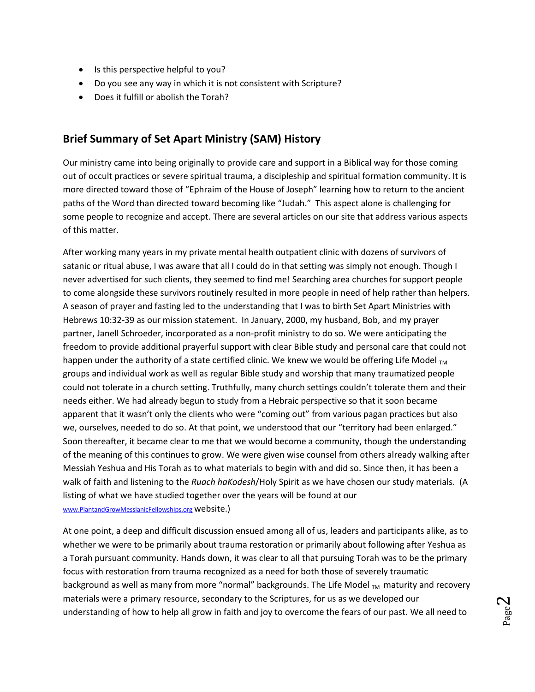- Is this perspective helpful to you?
- Do you see any way in which it is not consistent with Scripture?
- Does it fulfill or abolish the Torah?

## **Brief Summary of Set Apart Ministry (SAM) History**

Our ministry came into being originally to provide care and support in a Biblical way for those coming out of occult practices or severe spiritual trauma, a discipleship and spiritual formation community. It is more directed toward those of "Ephraim of the House of Joseph" learning how to return to the ancient paths of the Word than directed toward becoming like "Judah." This aspect alone is challenging for some people to recognize and accept. There are several articles on our site that address various aspects of this matter.

After working many years in my private mental health outpatient clinic with dozens of survivors of satanic or ritual abuse, I was aware that all I could do in that setting was simply not enough. Though I never advertised for such clients, they seemed to find me! Searching area churches for support people to come alongside these survivors routinely resulted in more people in need of help rather than helpers. A season of prayer and fasting led to the understanding that I was to birth Set Apart Ministries with Hebrews 10:32-39 as our mission statement. In January, 2000, my husband, Bob, and my prayer partner, Janell Schroeder, incorporated as a non-profit ministry to do so. We were anticipating the freedom to provide additional prayerful support with clear Bible study and personal care that could not happen under the authority of a state certified clinic. We knew we would be offering Life Model  $_{TM}$ groups and individual work as well as regular Bible study and worship that many traumatized people could not tolerate in a church setting. Truthfully, many church settings couldn't tolerate them and their needs either. We had already begun to study from a Hebraic perspective so that it soon became apparent that it wasn't only the clients who were "coming out" from various pagan practices but also we, ourselves, needed to do so. At that point, we understood that our "territory had been enlarged." Soon thereafter, it became clear to me that we would become a community, though the understanding of the meaning of this continues to grow. We were given wise counsel from others already walking after Messiah Yeshua and His Torah as to what materials to begin with and did so. Since then, it has been a walk of faith and listening to the *Ruach haKodesh*/Holy Spirit as we have chosen our study materials. (A listing of what we have studied together over the years will be found at our [www.PlantandGrowMessianicFellowships.org](http://www.plantandgrowmessianicfellowships.org/) website.)

At one point, a deep and difficult discussion ensued among all of us, leaders and participants alike, as to whether we were to be primarily about trauma restoration or primarily about following after Yeshua as a Torah pursuant community. Hands down, it was clear to all that pursuing Torah was to be the primary focus with restoration from trauma recognized as a need for both those of severely traumatic background as well as many from more "normal" backgrounds. The Life Model  $_{TM}$  maturity and recovery materials were a primary resource, secondary to the Scriptures, for us as we developed our understanding of how to help all grow in faith and joy to overcome the fears of our past. We all need to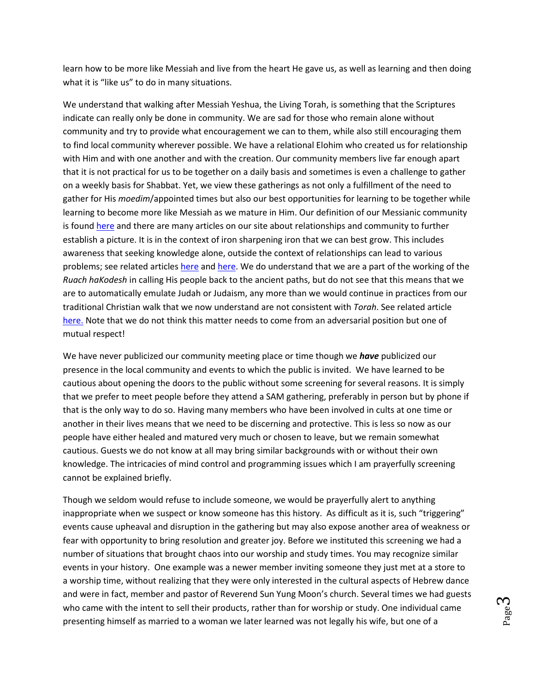learn how to be more like Messiah and live from the heart He gave us, as well as learning and then doing what it is "like us" to do in many situations.

We understand that walking after Messiah Yeshua, the Living Torah, is something that the Scriptures indicate can really only be done in community. We are sad for those who remain alone without community and try to provide what encouragement we can to them, while also still encouraging them to find local community wherever possible. We have a relational Elohim who created us for relationship with Him and with one another and with the creation. Our community members live far enough apart that it is not practical for us to be together on a daily basis and sometimes is even a challenge to gather on a weekly basis for Shabbat. Yet, we view these gatherings as not only a fulfillment of the need to gather for His *moedim*/appointed times but also our best opportunities for learning to be together while learning to become more like Messiah as we mature in Him. Our definition of our Messianic community is found [here](http://set-apart-ministries.org/communitydefinition.html) and there are many articles on our site about relationships and community to further establish a picture. It is in the context of iron sharpening iron that we can best grow. This includes awareness that seeking knowledge alone, outside the context of relationships can lead to various problems; see related articles [here](http://www.set-apart-ministries.org/shepherdsneedtoknow.html) and [here.](http://www.set-apart-ministries.org/leadership.html) We do understand that we are a part of the working of the *Ruach haKodesh* in calling His people back to the ancient paths, but do not see that this means that we are to automatically emulate Judah or Judaism, any more than we would continue in practices from our traditional Christian walk that we now understand are not consistent with *Torah*. See related article [here.](http://www.set-apart-ministries.org/files/Articles/MessiahYeshuasFollowersBecomingasJudah.November2010.pdf) Note that we do not think this matter needs to come from an adversarial position but one of mutual respect!

We have never publicized our community meeting place or time though we *have* publicized our presence in the local community and events to which the public is invited. We have learned to be cautious about opening the doors to the public without some screening for several reasons. It is simply that we prefer to meet people before they attend a SAM gathering, preferably in person but by phone if that is the only way to do so. Having many members who have been involved in cults at one time or another in their lives means that we need to be discerning and protective. This is less so now as our people have either healed and matured very much or chosen to leave, but we remain somewhat cautious. Guests we do not know at all may bring similar backgrounds with or without their own knowledge. The intricacies of mind control and programming issues which I am prayerfully screening cannot be explained briefly.

Though we seldom would refuse to include someone, we would be prayerfully alert to anything inappropriate when we suspect or know someone has this history. As difficult as it is, such "triggering" events cause upheaval and disruption in the gathering but may also expose another area of weakness or fear with opportunity to bring resolution and greater joy. Before we instituted this screening we had a number of situations that brought chaos into our worship and study times. You may recognize similar events in your history. One example was a newer member inviting someone they just met at a store to a worship time, without realizing that they were only interested in the cultural aspects of Hebrew dance and were in fact, member and pastor of Reverend Sun Yung Moon's church. Several times we had guests who came with the intent to sell their products, rather than for worship or study. One individual came presenting himself as married to a woman we later learned was not legally his wife, but one of a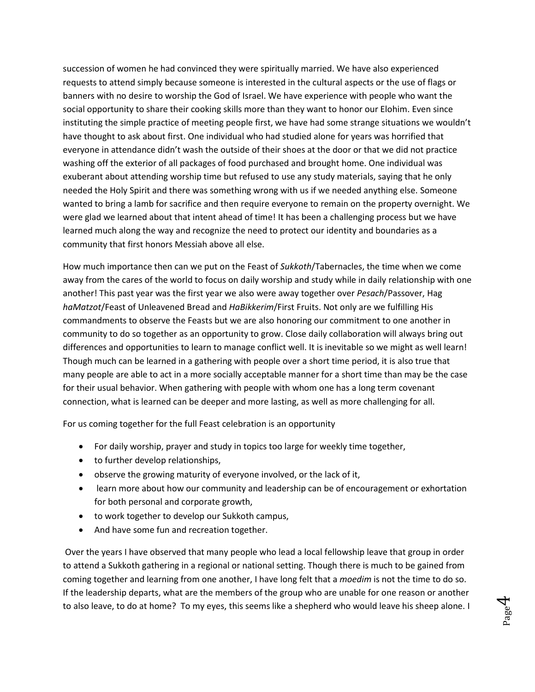succession of women he had convinced they were spiritually married. We have also experienced requests to attend simply because someone is interested in the cultural aspects or the use of flags or banners with no desire to worship the God of Israel. We have experience with people who want the social opportunity to share their cooking skills more than they want to honor our Elohim. Even since instituting the simple practice of meeting people first, we have had some strange situations we wouldn't have thought to ask about first. One individual who had studied alone for years was horrified that everyone in attendance didn't wash the outside of their shoes at the door or that we did not practice washing off the exterior of all packages of food purchased and brought home. One individual was exuberant about attending worship time but refused to use any study materials, saying that he only needed the Holy Spirit and there was something wrong with us if we needed anything else. Someone wanted to bring a lamb for sacrifice and then require everyone to remain on the property overnight. We were glad we learned about that intent ahead of time! It has been a challenging process but we have learned much along the way and recognize the need to protect our identity and boundaries as a community that first honors Messiah above all else.

How much importance then can we put on the Feast of *Sukkoth*/Tabernacles, the time when we come away from the cares of the world to focus on daily worship and study while in daily relationship with one another! This past year was the first year we also were away together over *Pesach*/Passover, Hag *haMatzot*/Feast of Unleavened Bread and *HaBikkerim*/First Fruits. Not only are we fulfilling His commandments to observe the Feasts but we are also honoring our commitment to one another in community to do so together as an opportunity to grow. Close daily collaboration will always bring out differences and opportunities to learn to manage conflict well. It is inevitable so we might as well learn! Though much can be learned in a gathering with people over a short time period, it is also true that many people are able to act in a more socially acceptable manner for a short time than may be the case for their usual behavior. When gathering with people with whom one has a long term covenant connection, what is learned can be deeper and more lasting, as well as more challenging for all.

For us coming together for the full Feast celebration is an opportunity

- For daily worship, prayer and study in topics too large for weekly time together,
- to further develop relationships,
- observe the growing maturity of everyone involved, or the lack of it,
- learn more about how our community and leadership can be of encouragement or exhortation for both personal and corporate growth,
- to work together to develop our Sukkoth campus,
- And have some fun and recreation together.

Over the years I have observed that many people who lead a local fellowship leave that group in order to attend a Sukkoth gathering in a regional or national setting. Though there is much to be gained from coming together and learning from one another, I have long felt that a *moedim* is not the time to do so. If the leadership departs, what are the members of the group who are unable for one reason or another to also leave, to do at home? To my eyes, this seems like a shepherd who would leave his sheep alone. I

Page  $\overline{\mathcal{A}}$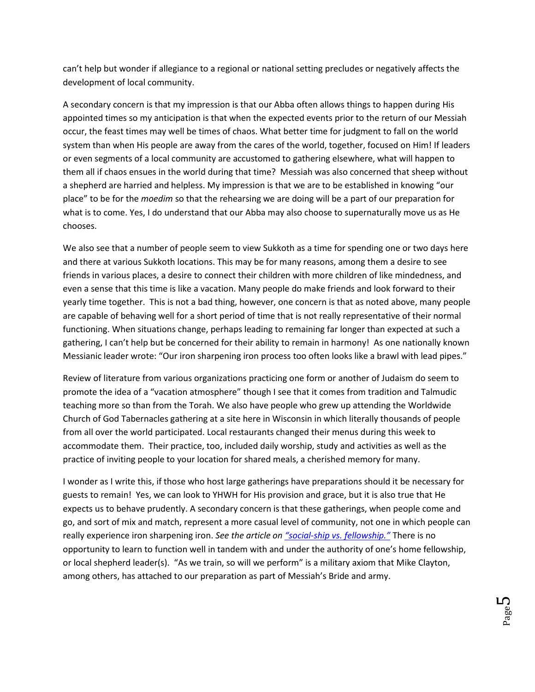can't help but wonder if allegiance to a regional or national setting precludes or negatively affects the development of local community.

A secondary concern is that my impression is that our Abba often allows things to happen during His appointed times so my anticipation is that when the expected events prior to the return of our Messiah occur, the feast times may well be times of chaos. What better time for judgment to fall on the world system than when His people are away from the cares of the world, together, focused on Him! If leaders or even segments of a local community are accustomed to gathering elsewhere, what will happen to them all if chaos ensues in the world during that time? Messiah was also concerned that sheep without a shepherd are harried and helpless. My impression is that we are to be established in knowing "our place" to be for the *moedim* so that the rehearsing we are doing will be a part of our preparation for what is to come. Yes, I do understand that our Abba may also choose to supernaturally move us as He chooses.

We also see that a number of people seem to view Sukkoth as a time for spending one or two days here and there at various Sukkoth locations. This may be for many reasons, among them a desire to see friends in various places, a desire to connect their children with more children of like mindedness, and even a sense that this time is like a vacation. Many people do make friends and look forward to their yearly time together. This is not a bad thing, however, one concern is that as noted above, many people are capable of behaving well for a short period of time that is not really representative of their normal functioning. When situations change, perhaps leading to remaining far longer than expected at such a gathering, I can't help but be concerned for their ability to remain in harmony! As one nationally known Messianic leader wrote: "Our iron sharpening iron process too often looks like a brawl with lead pipes."

Review of literature from various organizations practicing one form or another of Judaism do seem to promote the idea of a "vacation atmosphere" though I see that it comes from tradition and Talmudic teaching more so than from the Torah. We also have people who grew up attending the Worldwide Church of God Tabernacles gathering at a site here in Wisconsin in which literally thousands of people from all over the world participated. Local restaurants changed their menus during this week to accommodate them. Their practice, too, included daily worship, study and activities as well as the practice of inviting people to your location for shared meals, a cherished memory for many.

I wonder as I write this, if those who host large gatherings have preparations should it be necessary for guests to remain! Yes, we can look to YHWH for His provision and grace, but it is also true that He expects us to behave prudently. A secondary concern is that these gatherings, when people come and go, and sort of mix and match, represent a more casual level of community, not one in which people can really experience iron sharpening iron. *See the article on "social[-ship vs. fellowship.](http://www.set-apart-ministries.org/files/Articles/FellowshipvsSocialship.July2008.pdf)"* There is no opportunity to learn to function well in tandem with and under the authority of one's home fellowship, or local shepherd leader(s). "As we train, so will we perform" is a military axiom that Mike Clayton, among others, has attached to our preparation as part of Messiah's Bride and army.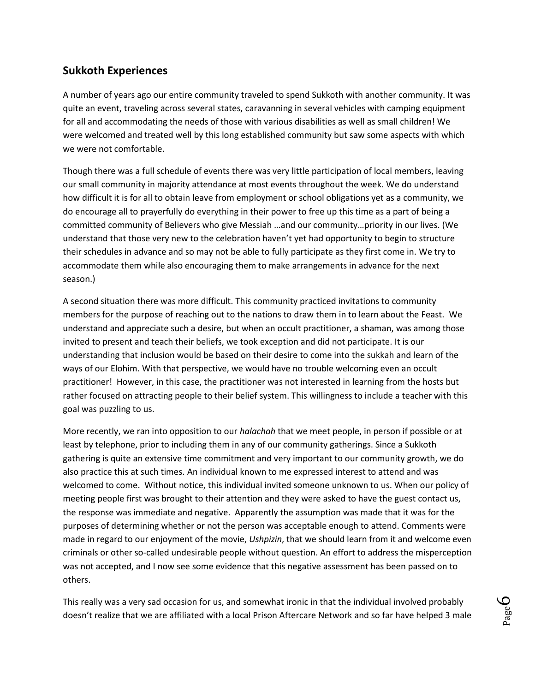## **Sukkoth Experiences**

A number of years ago our entire community traveled to spend Sukkoth with another community. It was quite an event, traveling across several states, caravanning in several vehicles with camping equipment for all and accommodating the needs of those with various disabilities as well as small children! We were welcomed and treated well by this long established community but saw some aspects with which we were not comfortable.

Though there was a full schedule of events there was very little participation of local members, leaving our small community in majority attendance at most events throughout the week. We do understand how difficult it is for all to obtain leave from employment or school obligations yet as a community, we do encourage all to prayerfully do everything in their power to free up this time as a part of being a committed community of Believers who give Messiah …and our community…priority in our lives. (We understand that those very new to the celebration haven't yet had opportunity to begin to structure their schedules in advance and so may not be able to fully participate as they first come in. We try to accommodate them while also encouraging them to make arrangements in advance for the next season.)

A second situation there was more difficult. This community practiced invitations to community members for the purpose of reaching out to the nations to draw them in to learn about the Feast. We understand and appreciate such a desire, but when an occult practitioner, a shaman, was among those invited to present and teach their beliefs, we took exception and did not participate. It is our understanding that inclusion would be based on their desire to come into the sukkah and learn of the ways of our Elohim. With that perspective, we would have no trouble welcoming even an occult practitioner! However, in this case, the practitioner was not interested in learning from the hosts but rather focused on attracting people to their belief system. This willingness to include a teacher with this goal was puzzling to us.

More recently, we ran into opposition to our *halachah* that we meet people, in person if possible or at least by telephone, prior to including them in any of our community gatherings. Since a Sukkoth gathering is quite an extensive time commitment and very important to our community growth, we do also practice this at such times. An individual known to me expressed interest to attend and was welcomed to come. Without notice, this individual invited someone unknown to us. When our policy of meeting people first was brought to their attention and they were asked to have the guest contact us, the response was immediate and negative. Apparently the assumption was made that it was for the purposes of determining whether or not the person was acceptable enough to attend. Comments were made in regard to our enjoyment of the movie, *Ushpizin*, that we should learn from it and welcome even criminals or other so-called undesirable people without question. An effort to address the misperception was not accepted, and I now see some evidence that this negative assessment has been passed on to others.

This really was a very sad occasion for us, and somewhat ironic in that the individual involved probably doesn't realize that we are affiliated with a local Prison Aftercare Network and so far have helped 3 male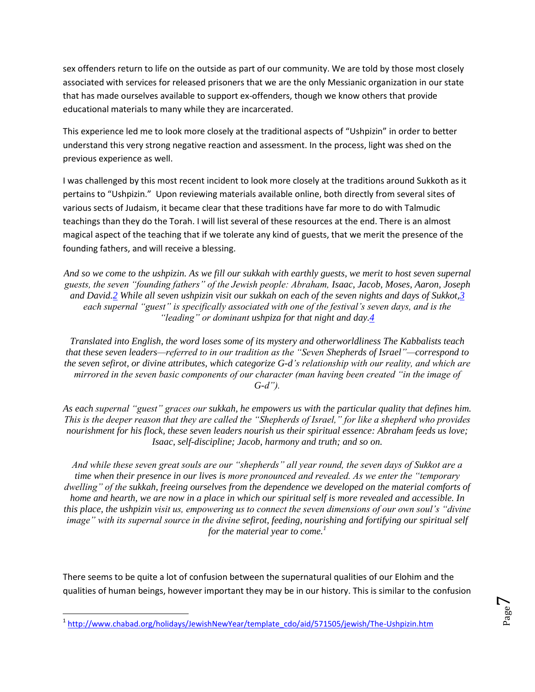sex offenders return to life on the outside as part of our community. We are told by those most closely associated with services for released prisoners that we are the only Messianic organization in our state that has made ourselves available to support ex-offenders, though we know others that provide educational materials to many while they are incarcerated.

This experience led me to look more closely at the traditional aspects of "Ushpizin" in order to better understand this very strong negative reaction and assessment. In the process, light was shed on the previous experience as well.

I was challenged by this most recent incident to look more closely at the traditions around Sukkoth as it pertains to "Ushpizin." Upon reviewing materials available online, both directly from several sites of various sects of Judaism, it became clear that these traditions have far more to do with Talmudic teachings than they do the Torah. I will list several of these resources at the end. There is an almost magical aspect of the teaching that if we tolerate any kind of guests, that we merit the presence of the founding fathers, and will receive a blessing.

*And so we come to the ushpizin. As we fill our sukkah with earthly guests, we merit to host seven supernal guests, the seven "founding fathers" of the Jewish people: Abraham, Isaac, Jacob, Moses, Aaron, Joseph and David[.2](javascript:doFootnote() While all seven ushpizin visit our sukkah on each of the seven nights and days of Sukkot[,3](javascript:doFootnote() each supernal "guest" is specifically associated with one of the festival's seven days, and is the "leading" or dominant ushpiza for that night and day[.4](javascript:doFootnote()*

*Translated into English, the word loses some of its mystery and otherworldliness The Kabbalists teach that these seven leaders—referred to in our tradition as the "Seven Shepherds of Israel"—correspond to the seven sefirot, or divine attributes, which categorize G-d's relationship with our reality, and which are mirrored in the seven basic components of our character (man having been created "in the image of G-d").*

*As each supernal "guest" graces our sukkah, he empowers us with the particular quality that defines him. This is the deeper reason that they are called the "Shepherds of Israel," for like a shepherd who provides nourishment for his flock, these seven leaders nourish us their spiritual essence: Abraham feeds us love; Isaac, self-discipline; Jacob, harmony and truth; and so on.*

*And while these seven great souls are our "shepherds" all year round, the seven days of Sukkot are a time when their presence in our lives is more pronounced and revealed. As we enter the "temporary dwelling" of the sukkah, freeing ourselves from the dependence we developed on the material comforts of home and hearth, we are now in a place in which our spiritual self is more revealed and accessible. In this place, the ushpizin visit us, empowering us to connect the seven dimensions of our own soul's "divine image" with its supernal source in the divine sefirot, feeding, nourishing and fortifying our spiritual self for the material year to come.<sup>1</sup>*

There seems to be quite a lot of confusion between the supernatural qualities of our Elohim and the qualities of human beings, however important they may be in our history. This is similar to the confusion

 $\overline{\phantom{a}}$ <sup>1</sup> [http://www.chabad.org/holidays/JewishNewYear/template\\_cdo/aid/571505/jewish/The-Ushpizin.htm](http://www.chabad.org/holidays/JewishNewYear/template_cdo/aid/571505/jewish/The-Ushpizin.htm)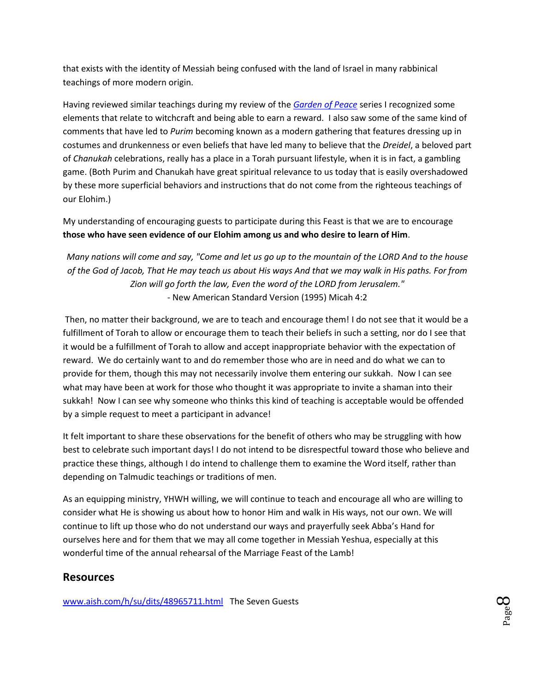that exists with the identity of Messiah being confused with the land of Israel in many rabbinical teachings of more modern origin.

Having reviewed similar teachings during my review of the *[Garden of Peace](http://www.set-apart-ministries.org/files/Articles/TheGardenofEmunaPeaceandWomensWisdomBkRevew.July.2010.pdf)* series I recognized some elements that relate to witchcraft and being able to earn a reward. I also saw some of the same kind of comments that have led to *Purim* becoming known as a modern gathering that features dressing up in costumes and drunkenness or even beliefs that have led many to believe that the *Dreidel*, a beloved part of *Chanukah* celebrations, really has a place in a Torah pursuant lifestyle, when it is in fact, a gambling game. (Both Purim and Chanukah have great spiritual relevance to us today that is easily overshadowed by these more superficial behaviors and instructions that do not come from the righteous teachings of our Elohim.)

My understanding of encouraging guests to participate during this Feast is that we are to encourage **those who have seen evidence of our Elohim among us and who desire to learn of Him**.

*Many nations will come and say, "Come and let us go up to the mountain of the LORD And to the house of the God of Jacob, That He may teach us about His ways And that we may walk in His paths. For from Zion will go forth the law, Even the word of the LORD from Jerusalem."* - New American Standard Version (1995) Micah 4:2

Then, no matter their background, we are to teach and encourage them! I do not see that it would be a fulfillment of Torah to allow or encourage them to teach their beliefs in such a setting, nor do I see that it would be a fulfillment of Torah to allow and accept inappropriate behavior with the expectation of reward. We do certainly want to and do remember those who are in need and do what we can to provide for them, though this may not necessarily involve them entering our sukkah. Now I can see what may have been at work for those who thought it was appropriate to invite a shaman into their sukkah! Now I can see why someone who thinks this kind of teaching is acceptable would be offended by a simple request to meet a participant in advance!

It felt important to share these observations for the benefit of others who may be struggling with how best to celebrate such important days! I do not intend to be disrespectful toward those who believe and practice these things, although I do intend to challenge them to examine the Word itself, rather than depending on Talmudic teachings or traditions of men.

As an equipping ministry, YHWH willing, we will continue to teach and encourage all who are willing to consider what He is showing us about how to honor Him and walk in His ways, not our own. We will continue to lift up those who do not understand our ways and prayerfully seek Abba's Hand for ourselves here and for them that we may all come together in Messiah Yeshua, especially at this wonderful time of the annual rehearsal of the Marriage Feast of the Lamb!

## **Resources**

[www.aish.com/h/su/dits/48965711.html](http://www.aish.com/h/su/dits/48965711.html) The Seven Guests